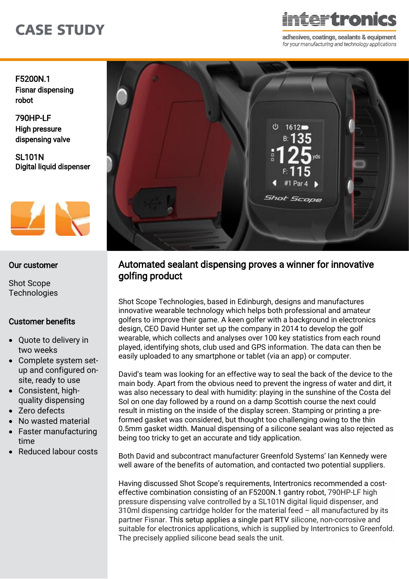# CASE STUDY

<del>ter</del>tronics

adhesives, coatings, sealants & equipment for your manufacturing and technology applications

F5200N.1 [Fisnar dispensing](https://www.intertronics.co.uk/product/fisnar-f5200n1-dispensing-benchtop-gantry-robot/)  robot

790HP-LF High pressure [dispensing valve](https://www.intertronics.co.uk/product/fis790hplf-high-pressure-dispensing-valve/) 

SL101N [Digital liquid dispenser](https://www.intertronics.co.uk/product/sl101n-digital-liquid-dispenser/) 



### Our customer

Shot Scope **[Technologies](https://shotscope.com/)** 

### Customer benefits

- Quote to delivery in two weeks
- Complete system setup and configured onsite, ready to use
- Consistent, highquality dispensing
- Zero defects
- No wasted material
- Faster manufacturing time
- Reduced labour costs



# Automated sealant dispensing proves a winner for innovative golfing product

Shot Scope Technologies, based in Edinburgh, designs and manufactures innovative wearable technology which helps both professional and amateur golfers to improve their game. A keen golfer with a background in electronics design, CEO David Hunter set up the company in 2014 to develop the golf wearable, which collects and analyses over 100 key statistics from each round played, identifying shots, club used and GPS information. The data can then be easily uploaded to any smartphone or tablet (via an app) or computer.

David's team was looking for an effective way to seal the back of the device to the main body. Apart from the obvious need to prevent the ingress of water and dirt, it was also necessary to deal with humidity: playing in the sunshine of the Costa del Sol on one day followed by a round on a damp Scottish course the next could result in misting on the inside of the display screen. Stamping or printing a preformed gasket was considered, but thought too challenging owing to the thin 0.5mm gasket width. Manual dispensing of a silicone sealant was also rejected as being too tricky to get an accurate and tidy application.

Both David and subcontract manufacturer Greenfold Systems' Ian Kennedy were well aware of the benefits of automation, and contacted two potential suppliers.

Having discussed Shot Scope's requirements, Intertronics recommended a costeffective combination consisting of an [F5200N.1 gantry robot,](https://www.intertronics.co.uk/product/fisnar-f5200n1-dispensing-benchtop-gantry-robot/) [790HP-LF](https://www.intertronics.co.uk/product/fis790hplf-high-pressure-dispensing-valve/) high pressure dispensing valve controlled by a [SL101N digital liquid dispenser, a](https://www.intertronics.co.uk/product/sl101n-digital-liquid-dispenser/)nd 310ml dispensing cartridge holder for the material feed – all manufactured by its partner Fisnar. This setup applies a single part RTV silicone, non-corrosive and suitable for electronics applications, which is supplied by Intertronics to Greenfold. The precisely applied silicone bead seals the unit.